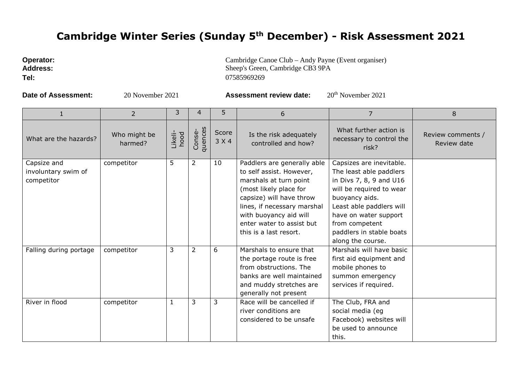## **Cambridge Winter Series (Sunday 5th December) - Risk Assessment 2021**

| <b>Operator:</b> | Cambridge Canoe Club – Andy Payne (Event organiser) |
|------------------|-----------------------------------------------------|
| <b>Address:</b>  | Sheep's Green. Cambridge CB3 9PA                    |

**Tel:** 07585969269

**Date of Assessment:** 20 November 2021 **Assessment review date:** 20<sup>th</sup> November 2021

Sheep's Green, Cambridge CB3 9PA

|                                                  | 2                       | 3               | 4                 | 5              | 6                                                                                                                                                                                                                                                       | 7                                                                                                                                                                                                                                                    | 8                                |
|--------------------------------------------------|-------------------------|-----------------|-------------------|----------------|---------------------------------------------------------------------------------------------------------------------------------------------------------------------------------------------------------------------------------------------------------|------------------------------------------------------------------------------------------------------------------------------------------------------------------------------------------------------------------------------------------------------|----------------------------------|
| What are the hazards?                            | Who might be<br>harmed? | Likeli-<br>hood | quences<br>Conse- | Score<br>3 X 4 | Is the risk adequately<br>controlled and how?                                                                                                                                                                                                           | What further action is<br>necessary to control the<br>risk?                                                                                                                                                                                          | Review comments /<br>Review date |
| Capsize and<br>involuntary swim of<br>competitor | competitor              | 5               | $\overline{2}$    | 10             | Paddlers are generally able<br>to self assist. However,<br>marshals at turn point<br>(most likely place for<br>capsize) will have throw<br>lines, if necessary marshal<br>with buoyancy aid will<br>enter water to assist but<br>this is a last resort. | Capsizes are inevitable.<br>The least able paddlers<br>in Divs 7, 8, 9 and U16<br>will be required to wear<br>buoyancy aids.<br>Least able paddlers will<br>have on water support<br>from competent<br>paddlers in stable boats<br>along the course. |                                  |
| Falling during portage                           | competitor              | 3               | $\overline{2}$    | 6              | Marshals to ensure that<br>the portage route is free<br>from obstructions. The<br>banks are well maintained<br>and muddy stretches are<br>generally not present                                                                                         | Marshals will have basic<br>first aid equipment and<br>mobile phones to<br>summon emergency<br>services if required.                                                                                                                                 |                                  |
| River in flood                                   | competitor              | $\mathbf{1}$    | 3                 | 3              | Race will be cancelled if<br>river conditions are<br>considered to be unsafe                                                                                                                                                                            | The Club, FRA and<br>social media (eg<br>Facebook) websites will<br>be used to announce<br>this.                                                                                                                                                     |                                  |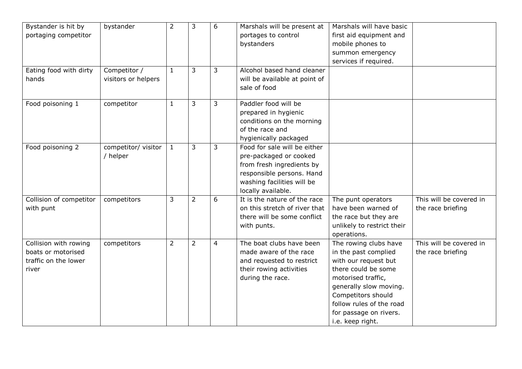| Bystander is hit by     | bystander           | $\overline{2}$ | 3              | 6              | Marshals will be present at   | Marshals will have basic   |                         |
|-------------------------|---------------------|----------------|----------------|----------------|-------------------------------|----------------------------|-------------------------|
| portaging competitor    |                     |                |                |                | portages to control           | first aid equipment and    |                         |
|                         |                     |                |                |                | bystanders                    | mobile phones to           |                         |
|                         |                     |                |                |                |                               | summon emergency           |                         |
|                         |                     |                |                |                |                               | services if required.      |                         |
| Eating food with dirty  | Competitor /        | $\mathbf{1}$   | 3              | 3              | Alcohol based hand cleaner    |                            |                         |
| hands                   | visitors or helpers |                |                |                | will be available at point of |                            |                         |
|                         |                     |                |                |                | sale of food                  |                            |                         |
|                         |                     |                |                |                |                               |                            |                         |
| Food poisoning 1        | competitor          | $\mathbf{1}$   | 3              | 3              | Paddler food will be          |                            |                         |
|                         |                     |                |                |                | prepared in hygienic          |                            |                         |
|                         |                     |                |                |                | conditions on the morning     |                            |                         |
|                         |                     |                |                |                | of the race and               |                            |                         |
|                         |                     |                |                |                | hygienically packaged         |                            |                         |
| Food poisoning 2        | competitor/ visitor | $\mathbf{1}$   | 3              | 3              | Food for sale will be either  |                            |                         |
|                         | / helper            |                |                |                | pre-packaged or cooked        |                            |                         |
|                         |                     |                |                |                | from fresh ingredients by     |                            |                         |
|                         |                     |                |                |                | responsible persons. Hand     |                            |                         |
|                         |                     |                |                |                | washing facilities will be    |                            |                         |
|                         |                     |                |                |                | locally available.            |                            |                         |
| Collision of competitor | competitors         | 3              | $\overline{2}$ | 6              | It is the nature of the race  | The punt operators         | This will be covered in |
| with punt               |                     |                |                |                | on this stretch of river that | have been warned of        | the race briefing       |
|                         |                     |                |                |                | there will be some conflict   | the race but they are      |                         |
|                         |                     |                |                |                | with punts.                   | unlikely to restrict their |                         |
|                         |                     |                |                |                |                               | operations.                |                         |
| Collision with rowing   | competitors         | $\overline{2}$ | $\overline{2}$ | $\overline{4}$ | The boat clubs have been      | The rowing clubs have      | This will be covered in |
| boats or motorised      |                     |                |                |                | made aware of the race        | in the past complied       | the race briefing       |
| traffic on the lower    |                     |                |                |                | and requested to restrict     | with our request but       |                         |
| river                   |                     |                |                |                | their rowing activities       | there could be some        |                         |
|                         |                     |                |                |                | during the race.              | motorised traffic,         |                         |
|                         |                     |                |                |                |                               | generally slow moving.     |                         |
|                         |                     |                |                |                |                               | Competitors should         |                         |
|                         |                     |                |                |                |                               | follow rules of the road   |                         |
|                         |                     |                |                |                |                               | for passage on rivers.     |                         |
|                         |                     |                |                |                |                               | i.e. keep right.           |                         |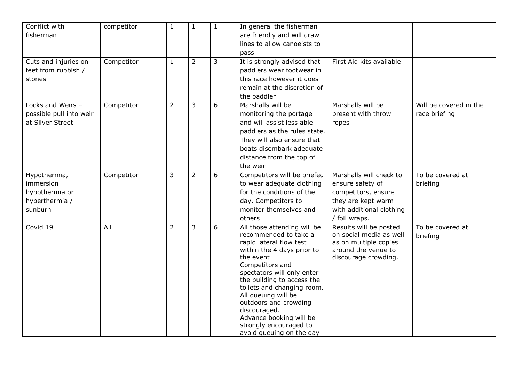| Conflict with<br>competitor                                         | $\mathbf{1}$   | $\mathbf{1}$   | $\mathbf{1}$ | In general the fisherman                                                                                                                                                   |                                                                                                 |                        |
|---------------------------------------------------------------------|----------------|----------------|--------------|----------------------------------------------------------------------------------------------------------------------------------------------------------------------------|-------------------------------------------------------------------------------------------------|------------------------|
| fisherman                                                           |                |                |              | are friendly and will draw                                                                                                                                                 |                                                                                                 |                        |
|                                                                     |                |                |              | lines to allow canoeists to                                                                                                                                                |                                                                                                 |                        |
|                                                                     |                |                |              | pass                                                                                                                                                                       |                                                                                                 |                        |
| Competitor<br>Cuts and injuries on<br>feet from rubbish /<br>stones | $\mathbf{1}$   | $\overline{2}$ | 3            | It is strongly advised that<br>paddlers wear footwear in<br>this race however it does                                                                                      | First Aid kits available                                                                        |                        |
|                                                                     |                |                |              | remain at the discretion of<br>the paddler                                                                                                                                 |                                                                                                 |                        |
| Locks and Weirs -<br>Competitor                                     | $\overline{2}$ | 3              | 6            | Marshalls will be                                                                                                                                                          | Marshalls will be                                                                               | Will be covered in the |
| possible pull into weir                                             |                |                |              | monitoring the portage                                                                                                                                                     | present with throw                                                                              | race briefing          |
| at Silver Street                                                    |                |                |              | and will assist less able                                                                                                                                                  | ropes                                                                                           |                        |
|                                                                     |                |                |              | paddlers as the rules state.                                                                                                                                               |                                                                                                 |                        |
|                                                                     |                |                |              | They will also ensure that                                                                                                                                                 |                                                                                                 |                        |
|                                                                     |                |                |              | boats disembark adequate                                                                                                                                                   |                                                                                                 |                        |
|                                                                     |                |                |              | distance from the top of                                                                                                                                                   |                                                                                                 |                        |
|                                                                     |                |                |              | the weir                                                                                                                                                                   |                                                                                                 |                        |
| Competitor<br>Hypothermia,                                          | 3              | $\overline{2}$ | 6            | Competitors will be briefed                                                                                                                                                | Marshalls will check to                                                                         | To be covered at       |
| immersion                                                           |                |                |              | to wear adequate clothing                                                                                                                                                  | ensure safety of                                                                                | briefing               |
| hypothermia or                                                      |                |                |              | for the conditions of the                                                                                                                                                  | competitors, ensure                                                                             |                        |
| hyperthermia /                                                      |                |                |              | day. Competitors to                                                                                                                                                        | they are kept warm                                                                              |                        |
| sunburn                                                             |                |                |              | monitor themselves and                                                                                                                                                     | with additional clothing                                                                        |                        |
|                                                                     |                |                |              | others                                                                                                                                                                     | / foil wraps.                                                                                   |                        |
| Covid 19<br>All                                                     | $\overline{2}$ | 3              | 6            | All those attending will be                                                                                                                                                | Results will be posted                                                                          | To be covered at       |
|                                                                     |                |                |              | recommended to take a<br>rapid lateral flow test<br>within the 4 days prior to<br>the event<br>Competitors and<br>spectators will only enter<br>the building to access the | on social media as well<br>as on multiple copies<br>around the venue to<br>discourage crowding. | briefing               |
|                                                                     |                |                |              | toilets and changing room.                                                                                                                                                 |                                                                                                 |                        |
|                                                                     |                |                |              | All queuing will be                                                                                                                                                        |                                                                                                 |                        |
|                                                                     |                |                |              | outdoors and crowding                                                                                                                                                      |                                                                                                 |                        |
|                                                                     |                |                |              | discouraged.                                                                                                                                                               |                                                                                                 |                        |
|                                                                     |                |                |              | Advance booking will be<br>strongly encouraged to                                                                                                                          |                                                                                                 |                        |
|                                                                     |                |                |              | avoid queuing on the day                                                                                                                                                   |                                                                                                 |                        |